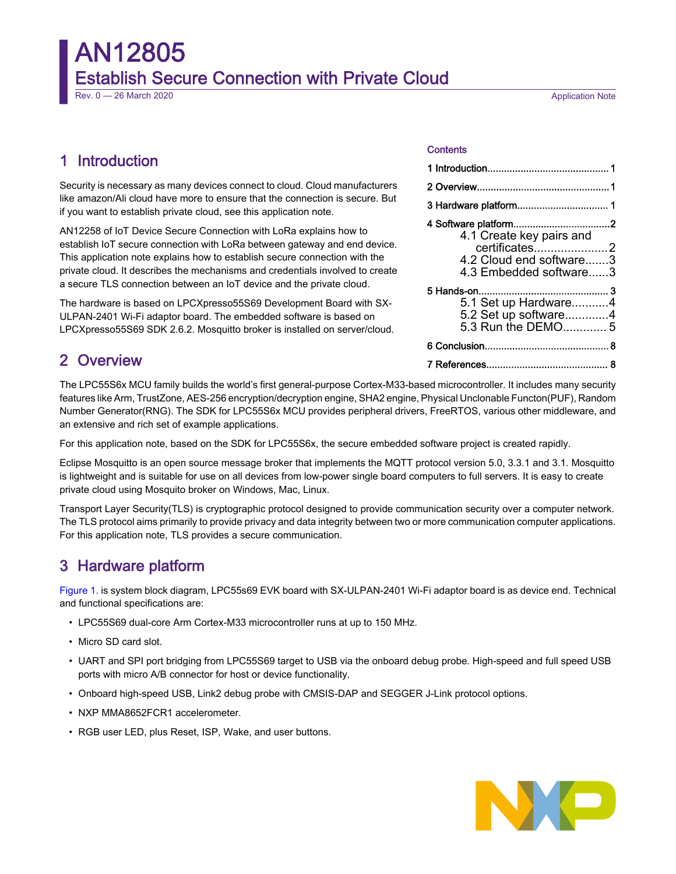# AN12805 Establish Secure Connection with Private Cloud

Rev. 0 — 26 March 2020 **Application Note** Rev. 0 — 26 March 2020

## 1 Introduction

Security is necessary as many devices connect to cloud. Cloud manufacturers like amazon/Ali cloud have more to ensure that the connection is secure. But if you want to establish private cloud, see this application note.

AN12258 of IoT Device Secure Connection with LoRa explains how to establish IoT secure connection with LoRa between gateway and end device. This application note explains how to establish secure connection with the private cloud. It describes the mechanisms and credentials involved to create a secure TLS connection between an IoT device and the private cloud.

The hardware is based on LPCXpresso55S69 Development Board with SX-ULPAN-2401 Wi-Fi adaptor board. The embedded software is based on LPCXpresso55S69 SDK 2.6.2. Mosquitto broker is installed on server/cloud.

#### **Contents**

| 3 Hardware platform 1                                                                                                  |
|------------------------------------------------------------------------------------------------------------------------|
| 4 Software platform2<br>4.1 Create key pairs and<br>certificates2<br>4.2 Cloud end software3<br>4.3 Embedded software3 |
| 5.1 Set up Hardware4<br>5.2 Set up software4<br>5.3 Run the DEMO 5                                                     |
|                                                                                                                        |
|                                                                                                                        |

# 2 Overview

The LPC55S6x MCU family builds the world's first general-purpose Cortex-M33-based microcontroller. It includes many security features like Arm, TrustZone, AES-256 encryption/decryption engine, SHA2 engine, Physical Unclonable Functon(PUF), Random Number Generator(RNG). The SDK for LPC55S6x MCU provides peripheral drivers, FreeRTOS, various other middleware, and an extensive and rich set of example applications.

For this application note, based on the SDK for LPC55S6x, the secure embedded software project is created rapidly.

Eclipse Mosquitto is an open source message broker that implements the MQTT protocol version 5.0, 3.3.1 and 3.1. Mosquitto is lightweight and is suitable for use on all devices from low-power single board computers to full servers. It is easy to create private cloud using Mosquito broker on Windows, Mac, Linux.

Transport Layer Security(TLS) is cryptographic protocol designed to provide communication security over a computer network. The TLS protocol aims primarily to provide privacy and data integrity between two or more communication computer applications. For this application note, TLS provides a secure communication.

## 3 Hardware platform

[Figure 1.](#page-1-0) is system block diagram, LPC55s69 EVK board with SX-ULPAN-2401 Wi-Fi adaptor board is as device end. Technical and functional specifications are:

- LPC55S69 dual-core Arm Cortex-M33 microcontroller runs at up to 150 MHz.
- Micro SD card slot.
- UART and SPI port bridging from LPC55S69 target to USB via the onboard debug probe. High-speed and full speed USB ports with micro A/B connector for host or device functionality.
- Onboard high-speed USB, Link2 debug probe with CMSIS-DAP and SEGGER J-Link protocol options.
- NXP MMA8652FCR1 accelerometer.
- RGB user LED, plus Reset, ISP, Wake, and user buttons.

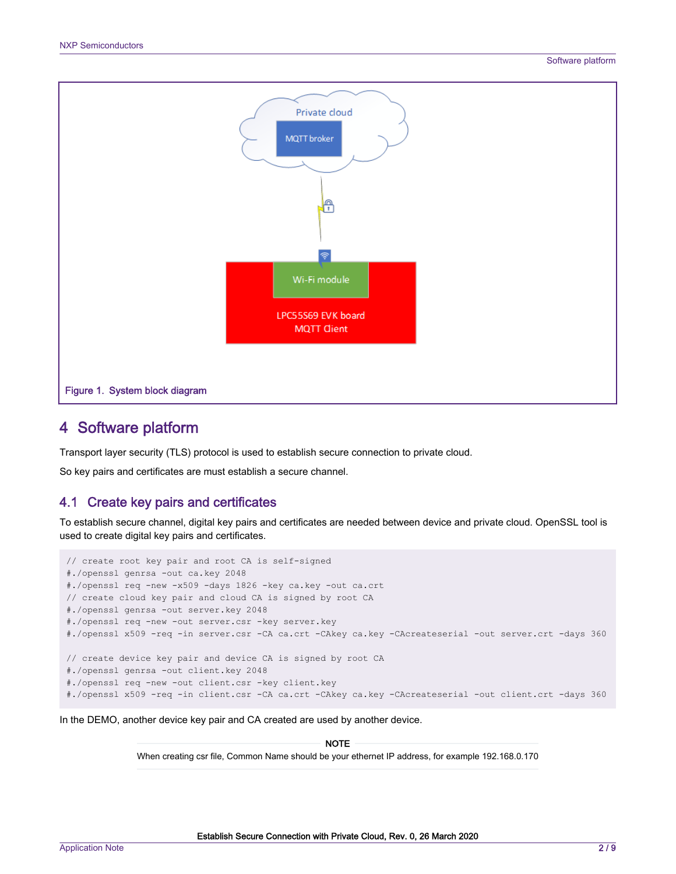<span id="page-1-0"></span>

## 4 Software platform

Transport layer security (TLS) protocol is used to establish secure connection to private cloud.

So key pairs and certificates are must establish a secure channel.

#### 4.1 Create key pairs and certificates

To establish secure channel, digital key pairs and certificates are needed between device and private cloud. OpenSSL tool is used to create digital key pairs and certificates.

```
// create root key pair and root CA is self-signed
#./openssl genrsa -out ca.key 2048
#./openssl req -new -x509 -days 1826 -key ca.key -out ca.crt
// create cloud key pair and cloud CA is signed by root CA
#./openssl genrsa -out server.key 2048
#./openssl req -new -out server.csr -key server.key
#./openssl x509 -req -in server.csr -CA ca.crt -CAkey ca.key -CAcreateserial -out server.crt -days 360
// create device key pair and device CA is signed by root CA
#./openssl genrsa -out client.key 2048
#./openssl req -new -out client.csr -key client.key
#./openssl x509 -req -in client.csr -CA ca.crt -CAkey ca.key -CAcreateserial -out client.crt -days 360
```
In the DEMO, another device key pair and CA created are used by another device.

When creating csr file, Common Name should be your ethernet IP address, for example 192.168.0.170 **NOTE**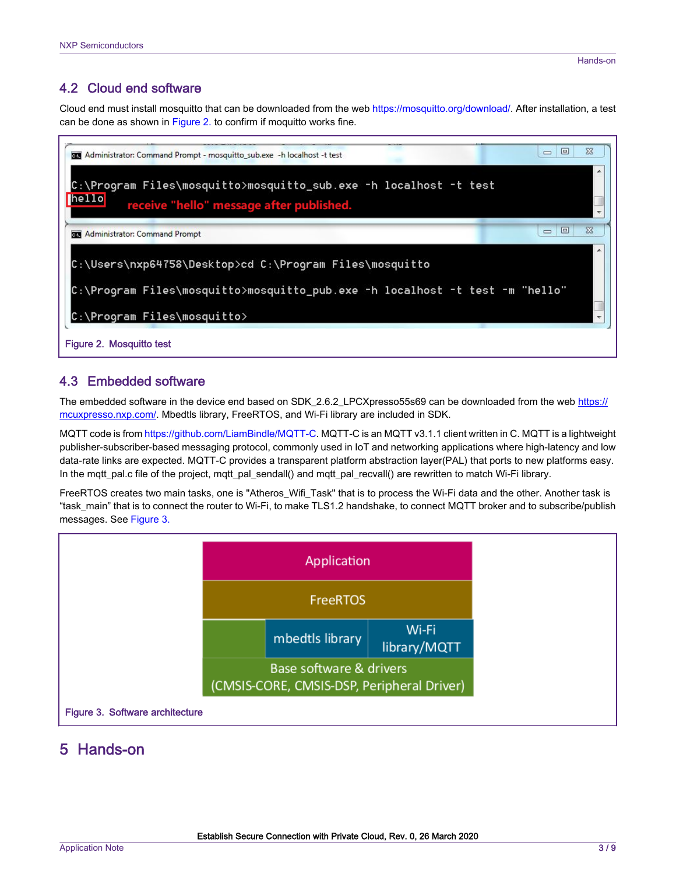## <span id="page-2-0"></span>4.2 Cloud end software

Cloud end must install mosquitto that can be downloaded from the web [https://mosquitto.org/download/.](https://mosquitto.org/download/) After installation, a test can be done as shown in Figure 2. to confirm if moquitto works fine.



### 4.3 Embedded software

The embedded software in the device end based on SDK\_2.6.2\_LPCXpresso55s69 can be downloaded from the web [https://](https://mcuxpresso.nxp.com/) [mcuxpresso.nxp.com/.](https://mcuxpresso.nxp.com/) Mbedtls library, FreeRTOS, and Wi-Fi library are included in SDK.

MQTT code is from [https://github.com/LiamBindle/MQTT-C.](https://github.com/LiamBindle/MQTT-C) MQTT-C is an MQTT v3.1.1 client written in C. MQTT is a lightweight publisher-subscriber-based messaging protocol, commonly used in IoT and networking applications where high-latency and low data-rate links are expected. MQTT-C provides a transparent platform abstraction layer(PAL) that ports to new platforms easy. In the mqtt\_pal.c file of the project, mqtt\_pal\_sendall() and mqtt\_pal\_recvall() are rewritten to match Wi-Fi library.

FreeRTOS creates two main tasks, one is "Atheros\_Wifi\_Task" that is to process the Wi-Fi data and the other. Another task is "task\_main" that is to connect the router to Wi-Fi, to make TLS1.2 handshake, to connect MQTT broker and to subscribe/publish messages. See Figure 3.



## 5 Hands-on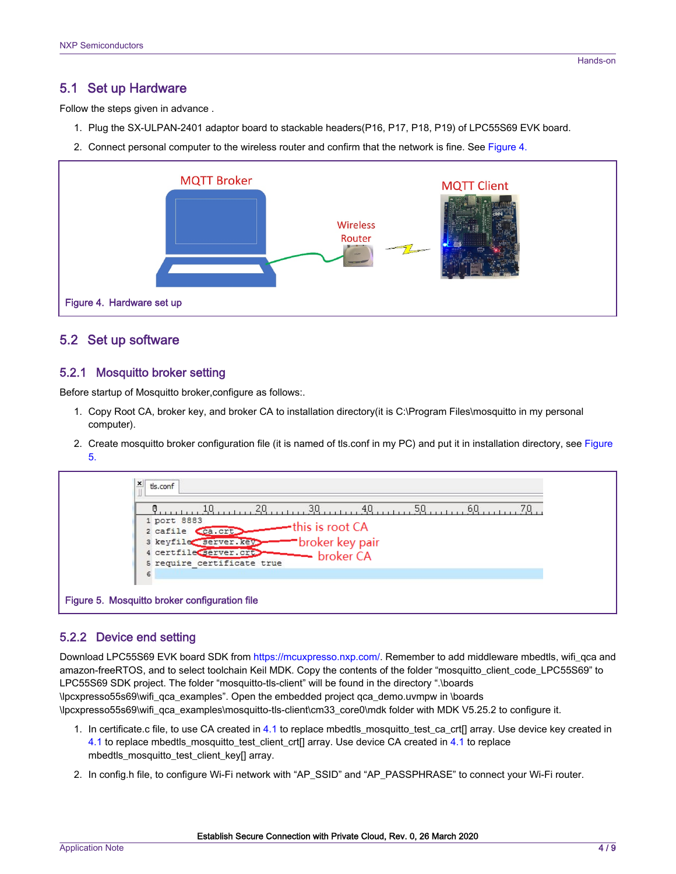#### <span id="page-3-0"></span>5.1 Set up Hardware

Follow the steps given in advance .

- 1. Plug the SX-ULPAN-2401 adaptor board to stackable headers(P16, P17, P18, P19) of LPC55S69 EVK board.
- 2. Connect personal computer to the wireless router and confirm that the network is fine. See Figure 4.



#### 5.2 Set up software

#### 5.2.1 Mosquitto broker setting

Before startup of Mosquitto broker,configure as follows:.

- 1. Copy Root CA, broker key, and broker CA to installation directory(it is C:\Program Files\mosquitto in my personal computer).
- 2. Create mosquitto broker configuration file (it is named of tls.conf in my PC) and put it in installation directory, see Figure 5.



#### 5.2.2 Device end setting

Download LPC55S69 EVK board SDK from <https://mcuxpresso.nxp.com/>. Remember to add middleware mbedtls, wifi\_qca and amazon-freeRTOS, and to select toolchain Keil MDK. Copy the contents of the folder "mosquitto\_client\_code\_LPC55S69" to LPC55S69 SDK project. The folder "mosquitto-tls-client" will be found in the directory ".\boards \lpcxpresso55s69\wifi\_qca\_examples". Open the embedded project qca\_demo.uvmpw in \boards \lpcxpresso55s69\wifi\_qca\_examples\mosquitto-tls-client\cm33\_core0\mdk folder with MDK V5.25.2 to configure it.

- 1. In certificate.c file, to use CA created in [4.1](#page-1-0) to replace mbedtls\_mosquitto\_test\_ca\_crt[] array. Use device key created in [4.1](#page-1-0) to replace mbedtls\_mosquitto\_test\_client\_crt[] array. Use device CA created in [4.1](#page-1-0) to replace mbedtls\_mosquitto\_test\_client\_key[] array.
- 2. In config.h file, to configure Wi-Fi network with "AP\_SSID" and "AP\_PASSPHRASE" to connect your Wi-Fi router.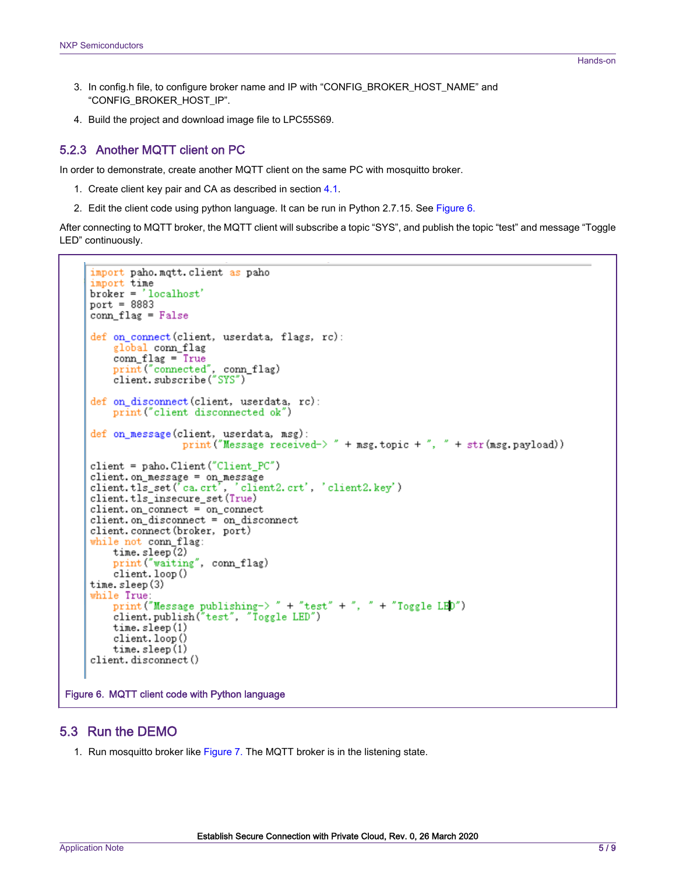- <span id="page-4-0"></span>3. In config.h file, to configure broker name and IP with "CONFIG\_BROKER\_HOST\_NAME" and "CONFIG\_BROKER\_HOST\_IP".
- 4. Build the project and download image file to LPC55S69.

#### 5.2.3 Another MQTT client on PC

In order to demonstrate, create another MQTT client on the same PC with mosquitto broker.

- 1. Create client key pair and CA as described in section [4.1](#page-1-0).
- 2. Edit the client code using python language. It can be run in Python 2.7.15. See Figure 6.

After connecting to MQTT broker, the MQTT client will subscribe a topic "SYS", and publish the topic "test" and message "Toggle LED" continuously.

```
import paho.mqtt.client as paho
     import time
     broker = 'localhost'
     port = 8883conn_flag = False
     def on connect (client, userdata, flags, rc):
         global conn_flag
         comflag = True
         print("connected", conn_flag)<br>client.subscribe("SYS")
     def on_disconnect(client, userdata, rc):
         print ("client disconnected ok")
     def on message (client, userdata, msg):
                       print ("Message received->" + msg.topic +", " + str (msg.payload))
     client = paho. Client ("Client_PC")
     client.on_message = on_message<br>client.tls_set('ca.crt', 'client2.crt', 'client2.key')
     client.tls_insecure_set(True)
     client.on_connect = on_connect
     client.on_disconnect = on_disconnect
     client.connect(broker, port)
     while not conn_flag:
         time.sleep(2)
         print ("waiting", conn_flag)
         client. loop()
     time.sleep(3)
     while True:
         print("Message publishing-> " + "test" + ", " + "Toggle LED")<br>client.publish("test", "Toggle LED")
         time.sleep(1)
         client. loop()
         time. sleep(1)client.disconnect()
Figure 6. MQTT client code with Python language
```
#### 5.3 Run the DEMO

1. Run mosquitto broker like [Figure 7. T](#page-5-0)he MQTT broker is in the listening state.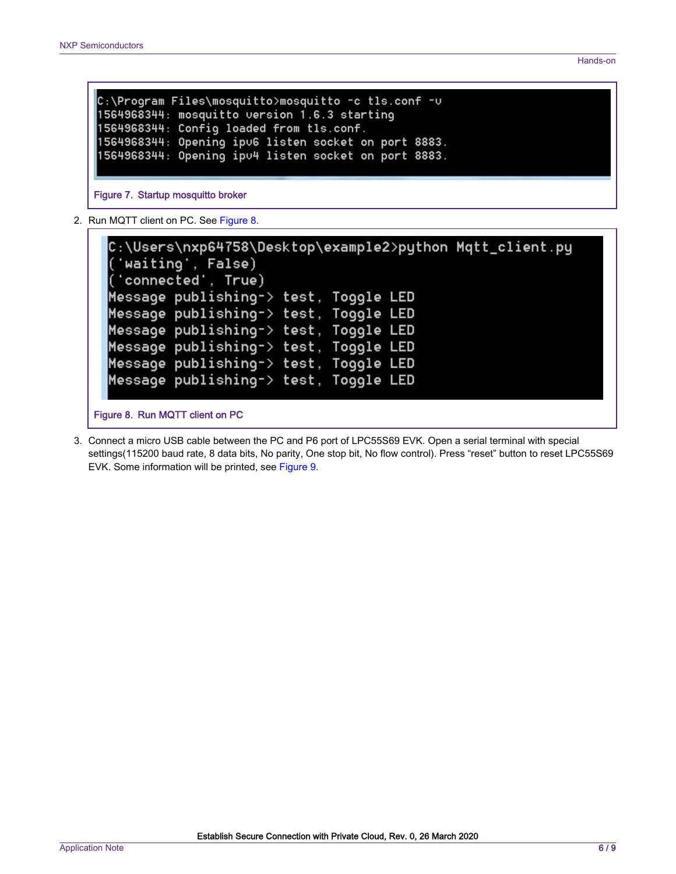```
C:\Program Files\mosquitto>mosquitto -c tls.conf -v
1564968344: mosquitto version 1.6.3 starting
1564968344: Config loaded from tls.conf.
1564968344: Opening ipu6 listen socket on port 8883.
1564968344: Opening ipu4 listen socket on port 8883.
```
Figure 7. Startup mosquitto broker

2. Run MQTT client on PC. See Figure 8.

| C:\Users\nxp64758\Desktop\example2>python Mqtt_client.py<br>('waiting', False) |  |  |  |
|--------------------------------------------------------------------------------|--|--|--|
| ('connected', True)                                                            |  |  |  |
| Message publishing-> test, Toggle LED                                          |  |  |  |
| Message publishing–> test, Toggle LED                                          |  |  |  |
| Message publishing–> test, Toggle LED                                          |  |  |  |
| Message publishing-> test, Toggle LED                                          |  |  |  |
| Message publishing-> test, Toggle LED                                          |  |  |  |
| Message publishing-> test, Toggle LED                                          |  |  |  |

Figure 8. Run MQTT client on PC

3. Connect a micro USB cable between the PC and P6 port of LPC55S69 EVK. Open a serial terminal with special settings(115200 baud rate, 8 data bits, No parity, One stop bit, No flow control). Press "reset" button to reset LPC55S69 EVK. Some information will be printed, see [Figure 9.](#page-6-0)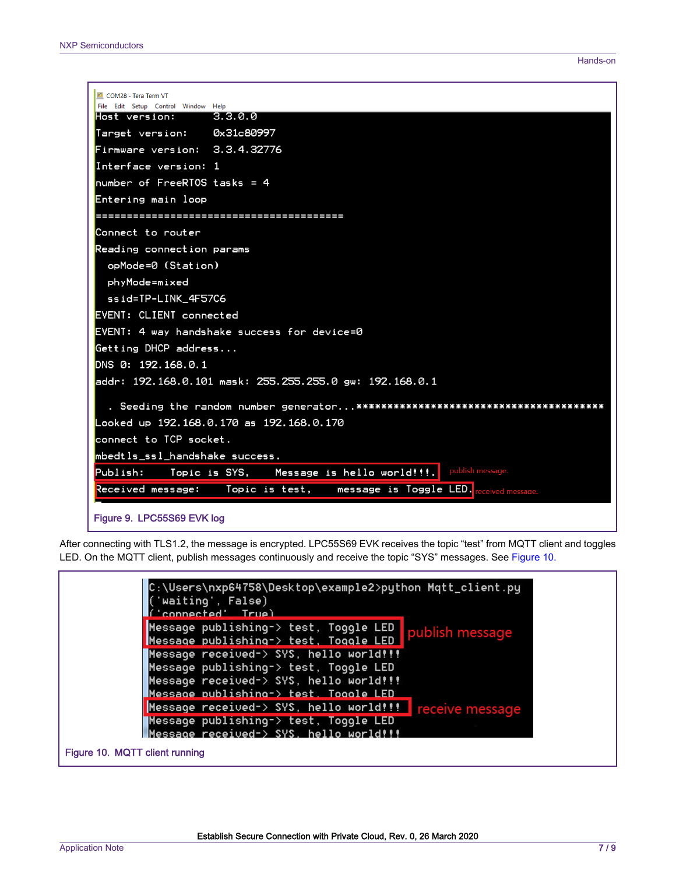<span id="page-6-0"></span>

| <b>M</b> COM28 - Tera Term VT                                                              |
|--------------------------------------------------------------------------------------------|
| File Edit Setup Control Window Help<br>3.3.0.0<br>Host version:                            |
| Target version: 0x31c80997                                                                 |
| Firmware version: 3.3.4.32776                                                              |
| Interface version: 1                                                                       |
| $number of FreeRIOS tasks = 4$                                                             |
| Entering main loop                                                                         |
|                                                                                            |
| Connect to router                                                                          |
| Reading connection params                                                                  |
| opMode=0 (Station)                                                                         |
| phyMode=mixed                                                                              |
| ssid=TP-LINK_4F57C6                                                                        |
| EVENT: CLIENT connected                                                                    |
| EVENT: 4 way handshake success for device=0                                                |
| Getting DHCP address                                                                       |
| DNS 0: 192.168.0.1                                                                         |
| addr: 192.168.0.101 mask: 255.255.255.0 gw: 192.168.0.1                                    |
|                                                                                            |
| Looked up 192.168.0.170 as 192.168.0.170                                                   |
| connect to TCP socket.                                                                     |
| mbedtls_ssl_handshake success.                                                             |
| publish message.<br>Publish: Topic is SYS, Message is hello world!!!.                      |
| Received message:    Topic is test,    message is Toggle LED. <mark></mark><br>eceived mes |
| Figure 9. LPC55S69 EVK log                                                                 |

After connecting with TLS1.2, the message is encrypted. LPC55S69 EVK receives the topic "test" from MQTT client and toggles LED. On the MQTT client, publish messages continuously and receive the topic "SYS" messages. See Figure 10.

| C:\Users\nxp64758\Desktop\example2>python Mqtt_client.py<br>['waiting', False)<br>Connected' True)                                                                                    |
|---------------------------------------------------------------------------------------------------------------------------------------------------------------------------------------|
| Message publishing-> test, Toggle LED publish message<br>Message publishing-> test, Toggle LED                                                                                        |
| Message received-> SYS, hello world!!!<br>Message publishing-> test, Toggle LED<br>Message received-> SYS, hello world!!!                                                             |
| Message publishing-> test. Toggle LED<br>Message received-> SYS, hello world!!!<br>receive message<br>Message publishing-> test, Toggle LED<br>Message received-> SYS, hello world!!! |
| Figure 10. MQTT client running                                                                                                                                                        |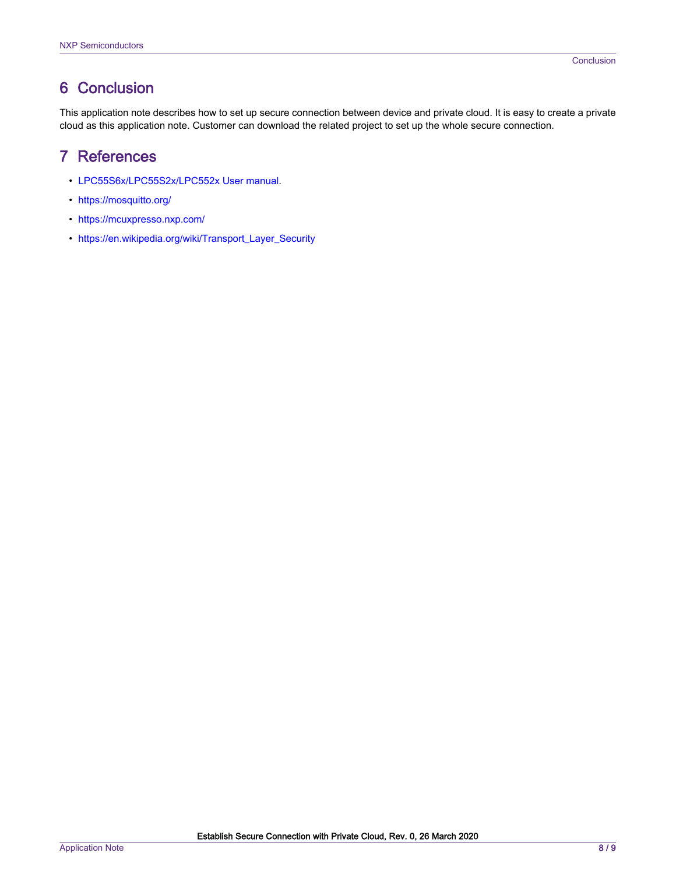## <span id="page-7-0"></span>6 Conclusion

This application note describes how to set up secure connection between device and private cloud. It is easy to create a private cloud as this application note. Customer can download the related project to set up the whole secure connection.

## 7 References

- [LPC55S6x/LPC55S2x/LPC552x User manual.](https://cache.nxp.com/secured/assets/documents/en/user-guide/UM11126.pdf?__gda__=1574765684_2cfedad8076358145e58c29c7529bc55&fileExt=.pdf)
- <https://mosquitto.org/>
- <https://mcuxpresso.nxp.com/>
- [https://en.wikipedia.org/wiki/Transport\\_Layer\\_Security](https://en.wikipedia.org/wiki/Transport_Layer_Security)